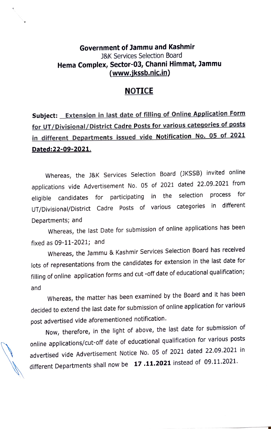## Government of Jammu and Kashmir J&K Services Selection Board Hema Complex, Sector-03, Channi Himmat, Jammu (www.jkssb.nic.in)

## NOTICE

## Subject: **Extension in last date of filling of Online Application Form** for UT/Divisional/District Cadre Posts for various categories of posts in different Departments issued vide Notification No. 05 of 2021 Dated:22-09-2021.

Whereas, the J&K Services Selection Board (JKSSB) invited online applications vide Advertisement No. 05 of 2021 dated 22.09.2021 from<br>sligible candidates for participating in the selection process for eligible candidates for participating in the selection UT/Divisional/District Cadre Posts of various categories in different Departments; and

Whereas, the last Date for submission of online applications has been fixed as 09-11-2021; and

Whereas, the Jammu & Kashmir Services Selection Board has received lots of representations from the candidates for extension in the last date for filling of online application forms and cut -off date of educational qualification; and

Whereas, the matter has been examined by the Board and it has been decided to extend the last date for submission of online application for various post advertised vide aforementioned notification.

Now, therefore, in the light of above, the last date for submission of online applications/cut-off date of educational qualification for various posts advertised vide Advertisement Notice No. 05 of 2021 dated 22.09.2021 in different Departments shall now be 17.11.2021 instead of 09.11.2021.